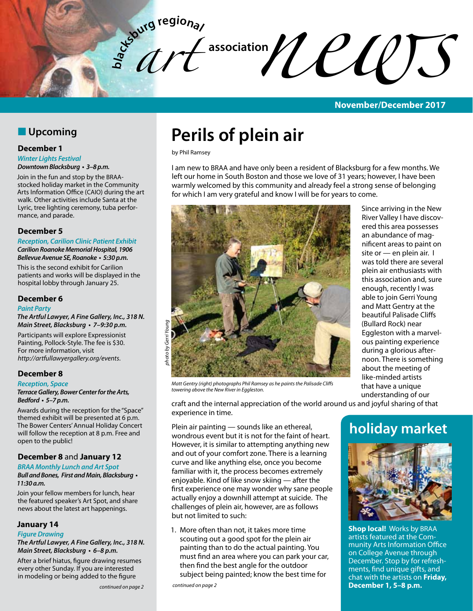

#### **November/December 2017**

# **N** Upcoming

#### **December 1**

#### *Winter Lights Festival*

**Downtown Blacksburg • 3–8 p.m.** 

Join in the fun and stop by the BRAAstocked holiday market in the Community Arts Information Office (CAIO) during the art walk. Other activities include Santa at the Lyric, tree lighting ceremony, tuba performance, and parade.

#### **December 5**

**Reception, Carilion Clinic Patient Exhibit Carilion Roanoke Memorial Hospital, 1906 Bellevue Avenue SE, Roanoke • 5:30 p.m.** 

This is the second exhibit for Carilion patients and works will be displayed in the hospital lobby through January 25.

#### **December 6**

#### **Paint Party**

**The Artful Lawyer, A Fine Gallery, Inc., 318 N. Main Street, Blacksburg • 7–9:30 p.m.**

Participants will explore Expressionist Painting, Pollock-Style. The fee is \$30. For more information, visit *http://artfullawyergallery.org/events*.

#### **December 8**

#### **Reception, Space**

**Terrace Gallery, Bower Center for the Arts, Bedford • 5–7 p.m.** 

Awards during the reception for the "Space" themed exhibit will be presented at 6 p.m. The Bower Centers' Annual Holiday Concert will follow the reception at 8 p.m. Free and open to the public!

#### **December 8** and **January 12**

#### **BRAA Monthly Lunch and Art Spot**

**Bull and Bones, First and Main, Blacksburg • 11:30 a.m.**

Join your fellow members for lunch, hear the featured speaker's Art Spot, and share news about the latest art happenings.

#### **January 14**

#### *Figure Drawing*

**The Artful Lawyer, A Fine Gallery, Inc., 318 N. Main Street, Blacksburg • 6–8 p.m.**

After a brief hiatus, figure drawing resumes every other Sunday. If you are interested in modeling or being added to the figure

# **Perils of plein air**

by Phil Ramsey

I am new to BRAA and have only been a resident of Blacksburg for a few months. We left our home in South Boston and those we love of 31 years; however, I have been warmly welcomed by this community and already feel a strong sense of belonging for which I am very grateful and know I will be for years to come.



Matt Gentry (right) photographs Phil Ramsey as he paints the Palisade Cliffs **have a unique** that have a unique *towering above the New River in Eggleston.*

Since arriving in the New River Valley I have discovered this area possesses an abundance of magnificent areas to paint on site or - en plein air. I was told there are several plein air enthusiasts with this association and, sure enough, recently I was able to join Gerri Young and Matt Gentry at the beautiful Palisade Cliffs (Bullard Rock) near Eggleston with a marvelous painting experience during a glorious afternoon. There is something about the meeting of like-minded artists understanding of our

craft and the internal appreciation of the world around us and joyful sharing of that experience in time.

Plein air painting — sounds like an ethereal, wondrous event but it is not for the faint of heart. However, it is similar to attempting anything new and out of your comfort zone. There is a learning curve and like anything else, once you become familiar with it, the process becomes extremely enjoyable. Kind of like snow skiing — after the first experience one may wonder why sane people actually enjoy a downhill attempt at suicide. The challenges of plein air, however, are as follows but not limited to such:

1. More often than not, it takes more time scouting out a good spot for the plein air painting than to do the actual painting. You must find an area where you can park your car, then find the best angle for the outdoor subject being painted; know the best time for

*continued on page 2*

# **holiday market**



**Shop local!** Works by BRAA artists featured at the Community Arts Information Office on College Avenue through December. Stop by for refreshments, find unique gifts, and chat with the artists on **Friday, December 1, 5–8 p.m.**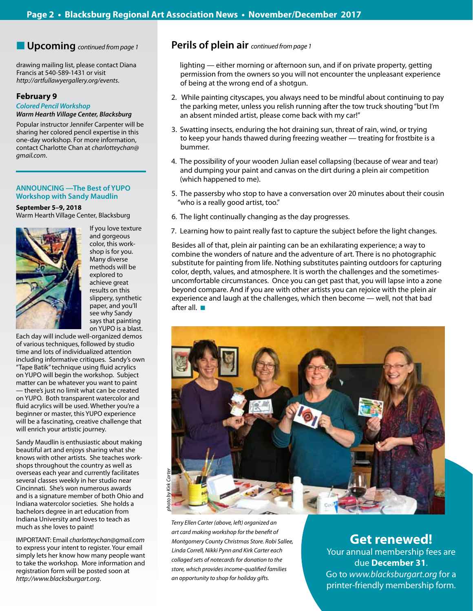drawing mailing list, please contact Diana Francis at 540-589-1431 or visit *http://artfullawyergallery.org/events*.

#### **February 9**

#### **Colored Pencil Workshop**

#### **Warm Hearth Village Center, Blacksburg**

Popular instructor Jennifer Carpenter will be sharing her colored pencil expertise in this one-day workshop. For more information, contact Charlotte Chan at *charlotteychan@ gmail.com*.

#### **ANNOUNCING —The Best of YUPO Workshop with Sandy Maudlin**

#### **September 5–9, 2018** Warm Hearth Village Center, Blacksburg



If you love texture and gorgeous color, this workshop is for you. Many diverse methods will be explored to achieve great results on this slippery, synthetic paper, and you'll see why Sandy says that painting on YUPO is a blast.

Each day will include well-organized demos of various techniques, followed by studio time and lots of individualized attention including informative critiques. Sandy's own "Tape Batik" technique using fluid acrylics on YUPO will begin the workshop. Subject matter can be whatever you want to paint — there's just no limit what can be created on YUPO. Both transparent watercolor and fluid acrylics will be used. Whether you're a beginner or master, this YUPO experience will be a fascinating, creative challenge that will enrich your artistic journey.

Sandy Maudlin is enthusiastic about making beautiful art and enjoys sharing what she knows with other artists. She teaches workshops throughout the country as well as overseas each year and currently facilitates several classes weekly in her studio near Cincinnati. She's won numerous awards and is a signature member of both Ohio and Indiana watercolor societies. She holds a bachelors degree in art education from Indiana University and loves to teach as much as she loves to paint!

IMPORTANT: Email *charlotteychan@gmail.com* to express your intent to register. Your email simply lets her know how many people want to take the workshop. More information and registration form will be posted soon at *http://www.blacksburgart.org*.

### n **Upcoming** *continued from page 1* **Perils of plein air** *continued from page 1*

lighting — either morning or afternoon sun, and if on private property, getting permission from the owners so you will not encounter the unpleasant experience of being at the wrong end of a shotgun.

- 2. While painting cityscapes, you always need to be mindful about continuing to pay the parking meter, unless you relish running after the tow truck shouting "but I'm an absent minded artist, please come back with my car!"
- 3. Swatting insects, enduring the hot draining sun, threat of rain, wind, or trying to keep your hands thawed during freezing weather — treating for frostbite is a bummer.
- 4. The possibility of your wooden Julian easel collapsing (because of wear and tear) and dumping your paint and canvas on the dirt during a plein air competition (which happened to me).
- 5. The passersby who stop to have a conversation over 20 minutes about their cousin "who is a really good artist, too."
- 6. The light continually changing as the day progresses.
- 7. Learning how to paint really fast to capture the subject before the light changes.

Besides all of that, plein air painting can be an exhilarating experience; a way to combine the wonders of nature and the adventure of art. There is no photographic substitute for painting from life. Nothing substitutes painting outdoors for capturing color, depth, values, and atmosphere. It is worth the challenges and the sometimesuncomfortable circumstances. Once you can get past that, you will lapse into a zone beyond compare. And if you are with other artists you can rejoice with the plein air experience and laugh at the challenges, which then become — well, not that bad after all.  $\blacksquare$ 



*Terry Ellen Carter (above, left) organized an art card making workshop for the benefit of Montgomery County Christmas Store. Robi Sallee, Linda Correll, Nikki Pynn and Kirk Carter each collaged sets of notecards for donation to the store, which provides income-qualified families an opportunity to shop for holiday gifts.*

# **Get renewed!** Your annual membership fees are

due **December 31**. Go to *www.blacksburgart.org* for a printer-friendly membership form.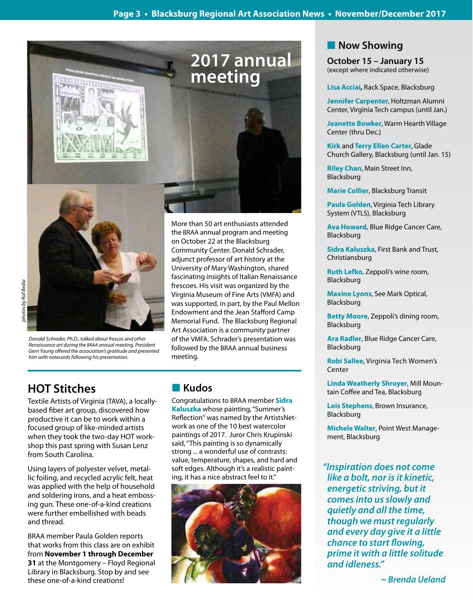





*Donald Schrader, Ph.D., talked about frescos and other Renaissance art during the BRAA annual meeting. President Gerri Young offered the association's gratitude and presented him with notecards following his presentation.*

More than 50 art enthusiasts attended the BRAA annual program and meeting on October 22 at the Blacksburg Community Center. Donald Schrader, adjunct professor of art history at the University of Mary Washington, shared fascinating insights of Italian Renaissance frescoes. His visit was organized by the Virginia Museum of Fine Arts (VMFA) and was supported, in part, by the Paul Mellon Endowment and the Jean Stafford Camp Memorial Fund. The Blacksburg Regional Art Association is a community partner of the VMFA. Schrader's presentation was followed by the BRAA annual business meeting.

# **HOT Stitches**

Textile Artists of Virginia (TAVA), a locallybased fiber art group, discovered how productive it can be to work within a focused group of like-minded artists when they took the two-day HOT workshop this past spring with Susan Lenz from South Carolina.

Using layers of polyester velvet, metallic foiling, and recycled acrylic felt, heat was applied with the help of household and soldering irons, and a heat embossing gun. These one-of-a-kind creations were further embellished with beads and thread.

BRAA member Paula Golden reports that works from this class are on exhibit from **November 1 through December 31** at the Montgomery – Floyd Regional Library in Blacksburg. Stop by and see these one-of-a-kind creations!

# **n** Kudos

Congratulations to BRAA member **Sidra Kaluszka** whose painting, "Summer's Reflection" was named by the ArtistsNetwork as one of the 10 best watercolor paintings of 2017. Juror Chris Krupinski said, "This painting is so dynamically strong ... a wonderful use of contrasts: value, temperature, shapes, and hard and soft edges. Although it's a realistic painting, it has a nice abstract feel to it."



# **Now Showing**

**October 15 – January 15** (except where indicated otherwise)

**Lisa Acciai,** Rack Space, Blacksburg

**Jennifer Carpenter**, Holtzman Alumni Center, Virginia Tech campus (until Jan.)

**Jeanette Bowker**, Warm Hearth Village Center (thru Dec.)

**Kirk** and **Terry Ellen Carter**, Glade Church Gallery, Blacksburg (until Jan. 15)

**Riley Chan**, Main Street Inn, Blacksburg

**Marie Collier**, Blacksburg Transit

**Paula Golden**, Virginia Tech Library System (VTLS), Blacksburg

**Ava Howard**, Blue Ridge Cancer Care, Blacksburg

**Sidra Kaluszka**, First Bank and Trust, Christiansburg

**Ruth Lefko**, Zeppoli's wine room, Blacksburg

**Maxine Lyons**, See Mark Optical, Blacksburg

**Betty Moore**, Zeppoli's dining room, Blacksburg

**Ara Radler**, Blue Ridge Cancer Care, Blacksburg

**Robi Sallee**, Virginia Tech Women's Center

**Linda Weatherly Shroyer**, Mill Mountain Coffee and Tea, Blacksburg

**Lois Stephens**, Brown Insurance, Blacksburg

**Michele Walter**, Point West Management, Blacksburg

**"Inspiration does not come like a bolt, nor is it kinetic, energetic striving, but it comes into us slowly and quietly and all the time, though we must regularly and every day give it a little chance to start flowing, prime it with a little solitude and idleness."**

 *~ Brenda Ueland*